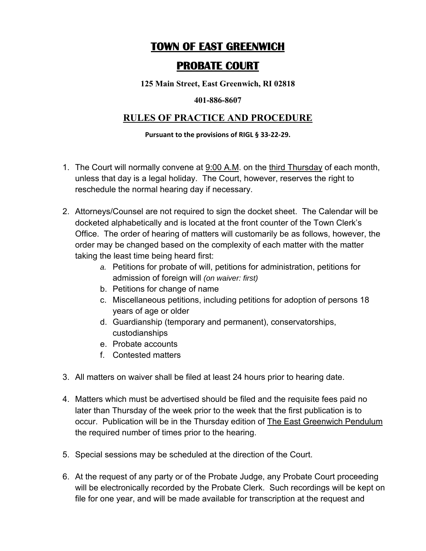# **TOWN OF EAST GREENWICH**

## **PROBATE COURT**

**125 Main Street, East Greenwich, RI 02818** 

#### **401-886-8607**

### **RULES OF PRACTICE AND PROCEDURE**

#### **Pursuant to the provisions of RIGL § 33‐22‐29.**

- 1. The Court will normally convene at 9:00 A.M. on the third Thursday of each month, unless that day is a legal holiday. The Court, however, reserves the right to reschedule the normal hearing day if necessary.
- 2. Attorneys/Counsel are not required to sign the docket sheet. The Calendar will be docketed alphabetically and is located at the front counter of the Town Clerk's Office. The order of hearing of matters will customarily be as follows, however, the order may be changed based on the complexity of each matter with the matter taking the least time being heard first:
	- *a.* Petitions for probate of will, petitions for administration, petitions for admission of foreign will *(on waiver: first)*
	- b. Petitions for change of name
	- c. Miscellaneous petitions, including petitions for adoption of persons 18 years of age or older
	- d. Guardianship (temporary and permanent), conservatorships, custodianships
	- e. Probate accounts
	- f. Contested matters
- 3. All matters on waiver shall be filed at least 24 hours prior to hearing date.
- 4. Matters which must be advertised should be filed and the requisite fees paid no later than Thursday of the week prior to the week that the first publication is to occur. Publication will be in the Thursday edition of The East Greenwich Pendulum the required number of times prior to the hearing.
- 5. Special sessions may be scheduled at the direction of the Court.
- 6. At the request of any party or of the Probate Judge, any Probate Court proceeding will be electronically recorded by the Probate Clerk. Such recordings will be kept on file for one year, and will be made available for transcription at the request and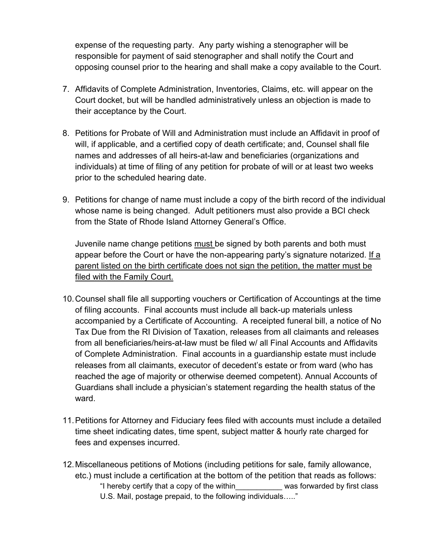expense of the requesting party. Any party wishing a stenographer will be responsible for payment of said stenographer and shall notify the Court and opposing counsel prior to the hearing and shall make a copy available to the Court.

- 7. Affidavits of Complete Administration, Inventories, Claims, etc. will appear on the Court docket, but will be handled administratively unless an objection is made to their acceptance by the Court.
- 8. Petitions for Probate of Will and Administration must include an Affidavit in proof of will, if applicable, and a certified copy of death certificate; and, Counsel shall file names and addresses of all heirs-at-law and beneficiaries (organizations and individuals) at time of filing of any petition for probate of will or at least two weeks prior to the scheduled hearing date.
- 9. Petitions for change of name must include a copy of the birth record of the individual whose name is being changed. Adult petitioners must also provide a BCI check from the State of Rhode Island Attorney General's Office.

Juvenile name change petitions must be signed by both parents and both must appear before the Court or have the non-appearing party's signature notarized. If a parent listed on the birth certificate does not sign the petition, the matter must be filed with the Family Court.

- 10. Counsel shall file all supporting vouchers or Certification of Accountings at the time of filing accounts. Final accounts must include all back-up materials unless accompanied by a Certificate of Accounting. A receipted funeral bill, a notice of No Tax Due from the RI Division of Taxation, releases from all claimants and releases from all beneficiaries/heirs-at-law must be filed w/ all Final Accounts and Affidavits of Complete Administration. Final accounts in a guardianship estate must include releases from all claimants, executor of decedent's estate or from ward (who has reached the age of majority or otherwise deemed competent). Annual Accounts of Guardians shall include a physician's statement regarding the health status of the ward.
- 11. Petitions for Attorney and Fiduciary fees filed with accounts must include a detailed time sheet indicating dates, time spent, subject matter & hourly rate charged for fees and expenses incurred.
- 12. Miscellaneous petitions of Motions (including petitions for sale, family allowance, etc.) must include a certification at the bottom of the petition that reads as follows: "I hereby certify that a copy of the within\_\_\_\_\_\_\_\_\_\_\_ was forwarded by first class U.S. Mail, postage prepaid, to the following individuals….."